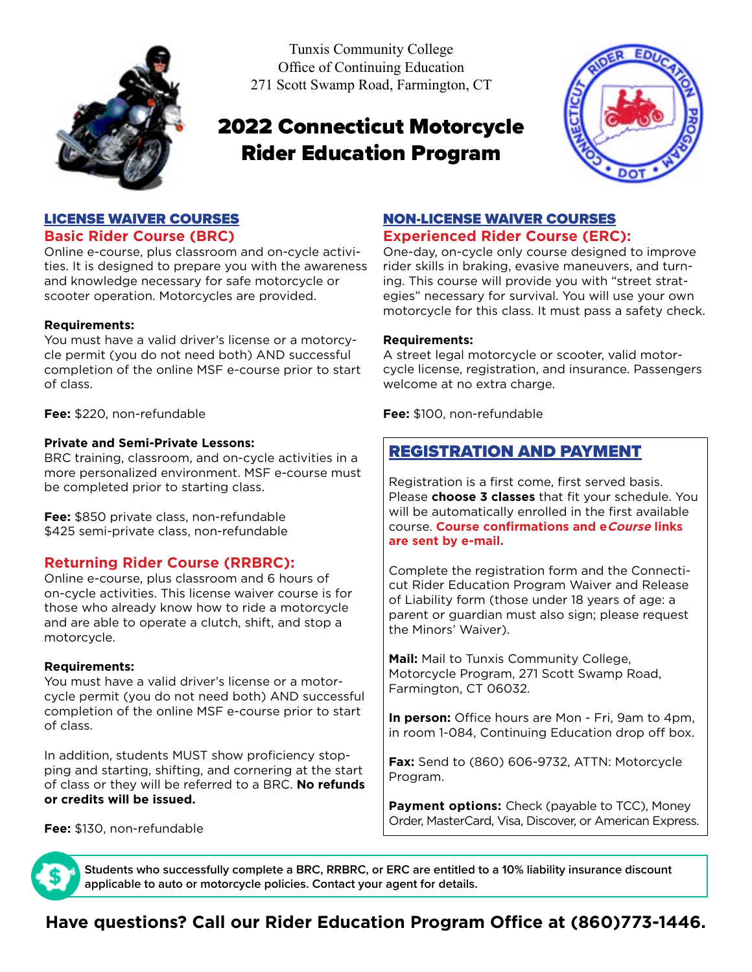

Tunxis Community College Office of Continuing Education 271 Scott Swamp Road, Farmington, CT

# 2022 Connecticut Motorcycle Rider Education Program



#### LICENSE WAIVER COURSES **Basic Rider Course (BRC)**

Online e-course, plus classroom and on-cycle activities. It is designed to prepare you with the awareness and knowledge necessary for safe motorcycle or scooter operation. Motorcycles are provided.

#### **Requirements:**

You must have a valid driver's license or a motorcycle permit (you do not need both) AND successful completion of the online MSF e-course prior to start of class.

**Fee:** \$220, non-refundable

#### **Private and Semi-Private Lessons:**

BRC training, classroom, and on-cycle activities in a more personalized environment. MSF e-course must be completed prior to starting class.

**Fee:** \$850 private class, non-refundable \$425 semi-private class, non-refundable

#### **Returning Rider Course (RRBRC):**

Online e-course, plus classroom and 6 hours of on-cycle activities. This license waiver course is for those who already know how to ride a motorcycle and are able to operate a clutch, shift, and stop a motorcycle.

#### **Requirements:**

You must have a valid driver's license or a motorcycle permit (you do not need both) AND successful completion of the online MSF e-course prior to start of class.

In addition, students MUST show proficiency stopping and starting, shifting, and cornering at the start of class or they will be referred to a BRC. **No refunds or credits will be issued.**

**Fee:** \$130, non-refundable

## NON-LICENSE WAIVER COURSES

### **Experienced Rider Course (ERC):**

One-day, on-cycle only course designed to improve rider skills in braking, evasive maneuvers, and turning. This course will provide you with "street strategies" necessary for survival. You will use your own motorcycle for this class. It must pass a safety check.

#### **Requirements:**

A street legal motorcycle or scooter, valid motorcycle license, registration, and insurance. Passengers welcome at no extra charge.

**Fee:** \$100, non-refundable

# REGISTRATION AND PAYMENT

Registration is a first come, first served basis. Please **choose 3 classes** that fit your schedule. You will be automatically enrolled in the first available course. **Course confirmations and eCourse links are sent by e-mail.**

Complete the registration form and the Connecticut Rider Education Program Waiver and Release of Liability form (those under 18 years of age: a parent or guardian must also sign; please request the Minors' Waiver).

**Mail:** Mail to Tunxis Community College, Motorcycle Program, 271 Scott Swamp Road, Farmington, CT 06032.

**In person:** Office hours are Mon - Fri, 9am to 4pm, in room 1-084, Continuing Education drop off box.

**Fax:** Send to (860) 606-9732, ATTN: Motorcycle Program.

**Payment options:** Check (payable to TCC), Money Order, MasterCard, Visa, Discover, or American Express.

**Students who successfully complete a BRC, RRBRC, or ERC are entitled to a 10% liability insurance discount applicable to auto or motorcycle policies. Contact your agent for details.**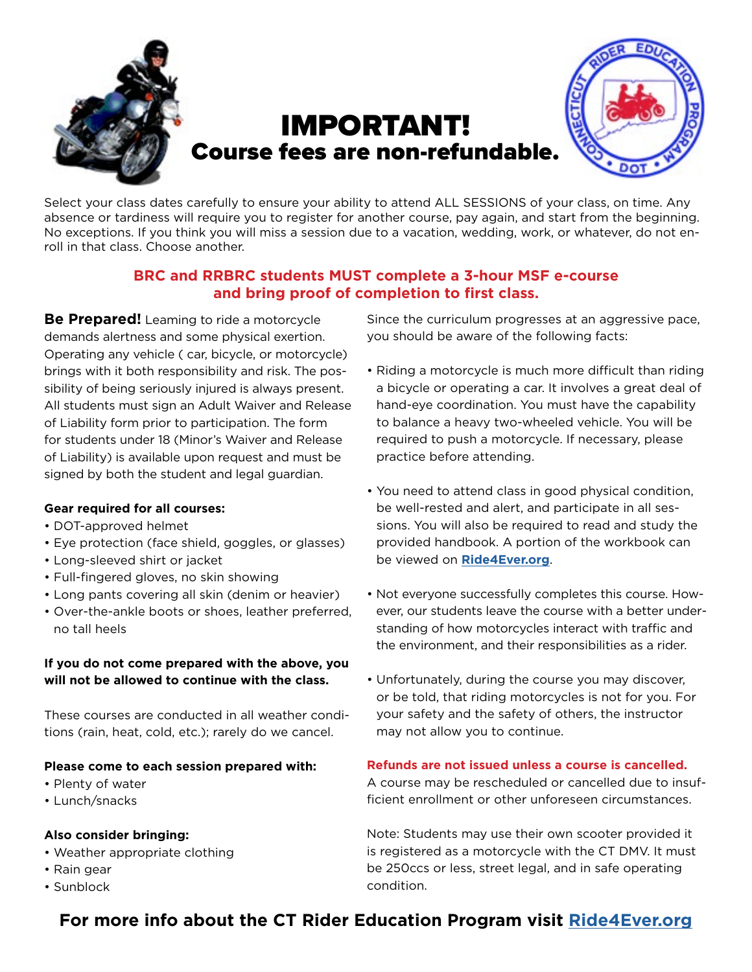

Select your class dates carefully to ensure your ability to attend ALL SESSIONS of your class, on time. Any absence or tardiness will require you to register for another course, pay again, and start from the beginning. No exceptions. If you think you will miss a session due to a vacation, wedding, work, or whatever, do not enroll in that class. Choose another.

## **BRC and RRBRC students MUST complete a 3-hour MSF e-course and bring proof of completion to first class.**

**Be Prepared!** Leaming to ride a motorcycle demands alertness and some physical exertion. Operating any vehicle ( car, bicycle, or motorcycle) brings with it both responsibility and risk. The possibility of being seriously injured is always present. All students must sign an Adult Waiver and Release of Liability form prior to participation. The form for students under 18 (Minor's Waiver and Release of Liability) is available upon request and must be signed by both the student and legal guardian.

#### **Gear required for all courses:**

- DOT-approved helmet
- Eye protection (face shield, goggles, or glasses)
- Long-sleeved shirt or jacket
- Full-fingered gloves, no skin showing
- Long pants covering all skin (denim or heavier)
- Over-the-ankle boots or shoes, leather preferred, no tall heels

#### **If you do not come prepared with the above, you will not be allowed to continue with the class.**

These courses are conducted in all weather conditions (rain, heat, cold, etc.); rarely do we cancel.

#### **Please come to each session prepared with:**

- Plenty of water
- Lunch/snacks

#### **Also consider bringing:**

- Weather appropriate clothing
- Rain gear
- Sunblock

Since the curriculum progresses at an aggressive pace, you should be aware of the following facts:

- Riding a motorcycle is much more difficult than riding a bicycle or operating a car. It involves a great deal of hand-eye coordination. You must have the capability to balance a heavy two-wheeled vehicle. You will be required to push a motorcycle. If necessary, please practice before attending.
- You need to attend class in good physical condition, be well-rested and alert, and participate in all sessions. You will also be required to read and study the provided handbook. A portion of the workbook can be viewed on **[Ride4Ever.org](https://www.ride4ever.org/)**.
- Not everyone successfully completes this course. However, our students leave the course with a better understanding of how motorcycles interact with traffic and the environment, and their responsibilities as a rider.
- Unfortunately, during the course you may discover, or be told, that riding motorcycles is not for you. For your safety and the safety of others, the instructor may not allow you to continue.

## **Refunds are not issued unless a course is cancelled.**

A course may be rescheduled or cancelled due to insufficient enrollment or other unforeseen circumstances.

Note: Students may use their own scooter provided it is registered as a motorcycle with the CT DMV. It must be 250ccs or less, street legal, and in safe operating condition.

# **For more info about the CT Rider Education Program visit [Ride4Ever.org](https://www.ride4ever.org/)**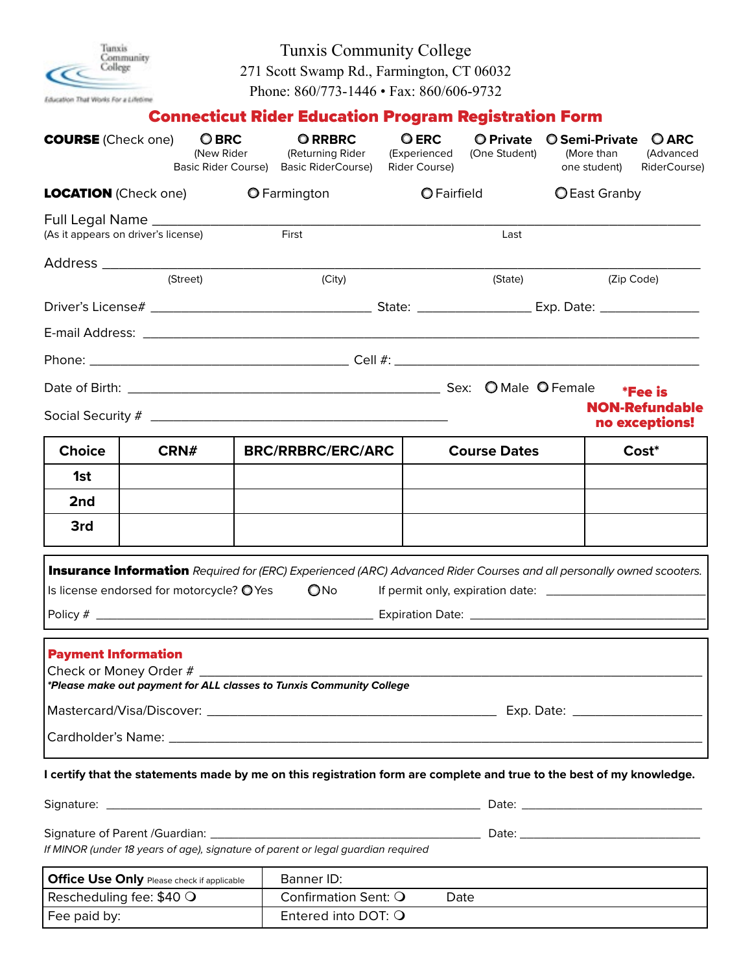Tunxis<br>Community<br>College  $\epsilon$ Education That Works For a Lifetime

Tunxis Community College 271 Scott Swamp Rd., Farmington, CT 06032

Phone: 860/773-1446 • Fax: 860/606-9732

# Connecticut Rider Education Program Registration Form

| <b>COURSE</b> (Check one)                                                 |  | <b>OBRC</b><br>(New Rider<br>Basic Rider Course) | <b>O RRBRC</b><br>(Returning Rider<br><b>Basic RiderCourse)</b>                                                                              | <b>O ERC</b><br>(Experienced<br>Rider Course) | <b>O</b> Private<br>(One Student) | <b>O</b> Semi-Private<br>(More than<br>one student) |  | <b>O ARC</b><br>(Advanced<br>RiderCourse) |  |
|---------------------------------------------------------------------------|--|--------------------------------------------------|----------------------------------------------------------------------------------------------------------------------------------------------|-----------------------------------------------|-----------------------------------|-----------------------------------------------------|--|-------------------------------------------|--|
| <b>LOCATION</b> (Check one)                                               |  | <b>O</b> Farmington                              | O Fairfield                                                                                                                                  |                                               | <b>OEast Granby</b>               |                                                     |  |                                           |  |
| Full Legal Name __________________<br>(As it appears on driver's license) |  |                                                  | First                                                                                                                                        |                                               | Last                              |                                                     |  |                                           |  |
|                                                                           |  |                                                  |                                                                                                                                              |                                               |                                   |                                                     |  |                                           |  |
| (Street)                                                                  |  | (City)                                           | (State)                                                                                                                                      |                                               | (Zip Code)                        |                                                     |  |                                           |  |
|                                                                           |  |                                                  |                                                                                                                                              |                                               |                                   |                                                     |  |                                           |  |
|                                                                           |  |                                                  |                                                                                                                                              |                                               |                                   |                                                     |  |                                           |  |
|                                                                           |  |                                                  |                                                                                                                                              |                                               |                                   |                                                     |  |                                           |  |
|                                                                           |  |                                                  |                                                                                                                                              |                                               |                                   | <i><b>*Fee is</b></i>                               |  |                                           |  |
|                                                                           |  |                                                  |                                                                                                                                              |                                               |                                   |                                                     |  | <b>NON-Refundable</b><br>no exceptions!   |  |
| <b>Choice</b>                                                             |  | <b>BRC/RRBRC/ERC/ARC</b><br>CRN#                 |                                                                                                                                              | <b>Course Dates</b>                           | Cost*                             |                                                     |  |                                           |  |
| 1st                                                                       |  |                                                  |                                                                                                                                              |                                               |                                   |                                                     |  |                                           |  |
| 2nd                                                                       |  |                                                  |                                                                                                                                              |                                               |                                   |                                                     |  |                                           |  |
| 3rd                                                                       |  |                                                  |                                                                                                                                              |                                               |                                   |                                                     |  |                                           |  |
|                                                                           |  | Is license endorsed for motorcycle? O Yes        | <b>Insurance Information</b> Required for (ERC) Experienced (ARC) Advanced Rider Courses and all personally owned scooters.<br>$\bigcirc$ No |                                               |                                   |                                                     |  |                                           |  |
| <b>Payment Information</b><br>Check or Money Order #                      |  |                                                  | *Please make out payment for ALL classes to Tunxis Community College                                                                         |                                               |                                   |                                                     |  |                                           |  |
|                                                                           |  |                                                  |                                                                                                                                              |                                               |                                   |                                                     |  |                                           |  |
|                                                                           |  |                                                  |                                                                                                                                              |                                               |                                   |                                                     |  |                                           |  |
|                                                                           |  |                                                  | I certify that the statements made by me on this registration form are complete and true to the best of my knowledge.                        |                                               |                                   |                                                     |  |                                           |  |
|                                                                           |  |                                                  |                                                                                                                                              |                                               |                                   |                                                     |  |                                           |  |
|                                                                           |  |                                                  | If MINOR (under 18 years of age), signature of parent or legal guardian required                                                             |                                               |                                   |                                                     |  |                                           |  |
| Office Use Only Please check if applicable                                |  |                                                  | Banner ID:                                                                                                                                   |                                               |                                   |                                                     |  |                                           |  |

| Office Use Only Please check if applicable | Banner ID:           |      |
|--------------------------------------------|----------------------|------|
| Rescheduling fee: $$40$ Q                  | Confirmation Sent: O | Date |
| Fee paid by:                               | Entered into DOT: Q  |      |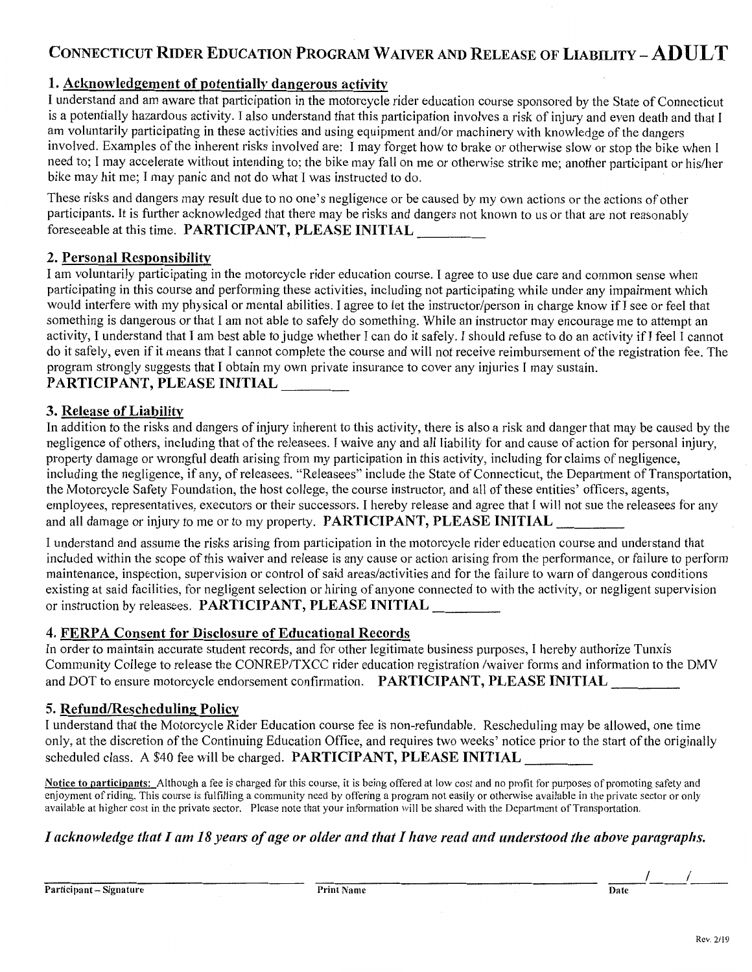# CONNECTICUT RIDER EDUCATION PROGRAM WAIVER AND RELEASE OF LIABILITY - ADULT

## 1. Acknowledgement of potentially dangerous activity

I understand and am aware that participation in the motorcycle rider education course sponsored by the State of Connecticut is a potentially hazardous activity. I also understand that this participation involves a risk of injury and even death and that I am voluntarily participating in these activities and using equipment and/or machinery with knowledge of the dangers involved. Examples of the inherent risks involved are: I may forget how to brake or otherwise slow or stop the bike when I need to; I may accelerate without intending to; the bike may fall on me or otherwise strike me; another participant or his/her bike may hit me; I may panic and not do what I was instructed to do.

These risks and dangers may result due to no one's negligence or be caused by my own actions or the actions of other participants. It is further acknowledged that there may be risks and dangers not known to us or that are not reasonably foreseeable at this time. PARTICIPANT, PLEASE INITIAL

## 2. Personal Responsibility

I am voluntarily participating in the motorcycle rider education course. I agree to use due care and common sense when participating in this course and performing these activities, including not participating while under any impairment which would interfere with my physical or mental abilities. I agree to let the instructor/person in charge know if I see or feel that something is dangerous or that I am not able to safely do something. While an instructor may encourage me to attempt an activity, I understand that I am best able to judge whether I can do it safely. I should refuse to do an activity if I feel I cannot do it safely, even if it means that I cannot complete the course and will not receive reimbursement of the registration fee. The program strongly suggests that I obtain my own private insurance to cover any injuries I may sustain.

## PARTICIPANT, PLEASE INITIAL

## 3. Release of Liability

In addition to the risks and dangers of injury inherent to this activity, there is also a risk and danger that may be caused by the negligence of others, including that of the releasees. I waive any and all liability for and cause of action for personal injury, property damage or wrongful death arising from my participation in this activity, including for claims of negligence, including the negligence, if any, of releasees. "Releasees" include the State of Connecticut, the Department of Transportation, the Motorcycle Safety Foundation, the host college, the course instructor, and all of these entities' officers, agents, employees, representatives, executors or their successors. I hereby release and agree that I will not sue the releasees for any and all damage or injury to me or to my property. PARTICIPANT, PLEASE INITIAL

I understand and assume the risks arising from participation in the motorcycle rider education course and understand that included within the scope of this waiver and release is any cause or action arising from the performance, or failure to perform maintenance, inspection, supervision or control of said areas/activities and for the failure to warn of dangerous conditions existing at said facilities, for negligent selection or hiring of anyone connected to with the activity, or negligent supervision or instruction by releasees. PARTICIPANT, PLEASE INITIAL

#### 4. FERPA Consent for Disclosure of Educational Records

In order to maintain accurate student records, and for other legitimate business purposes, I hereby authorize Tunxis Community College to release the CONREP/TXCC rider education registration /waiver forms and information to the DMV and DOT to ensure motorcycle endorsement confirmation. PARTICIPANT, PLEASE INITIAL

#### 5. Refund/Rescheduling Policy

I understand that the Motorcycle Rider Education course fee is non-refundable. Rescheduling may be allowed, one time only, at the discretion of the Continuing Education Office, and requires two weeks' notice prior to the start of the originally scheduled class. A \$40 fee will be charged. PARTICIPANT, PLEASE INITIAL

Notice to participants: Although a fee is charged for this course, it is being offered at low cost and no profit for purposes of promoting safety and enjoyment of riding. This course is fulfilling a community need by offering a program not easily or otherwise available in the private sector or only available at higher cost in the private sector. Please note that your information will be shared with the Department of Transportation.

# I acknowledge that I am 18 years of age or older and that I have read and understood the above paragraphs.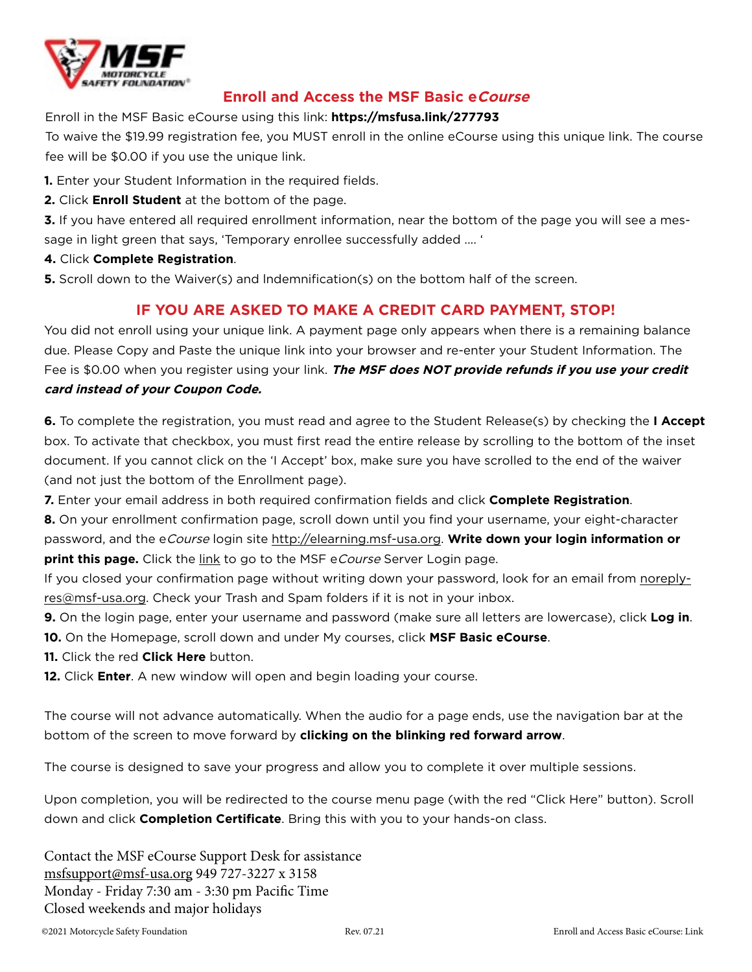

## **Enroll and Access the MSF Basic eCourse**

#### Enroll in the MSF Basic eCourse using this link: **https://msfusa.link/277793**

To waive the \$19.99 registration fee, you MUST enroll in the online eCourse using this unique link. The course fee will be \$0.00 if you use the unique link.

- **1.** Enter your Student Information in the required fields.
- **2.** Click **Enroll Student** at the bottom of the page.

**3.** If you have entered all required enrollment information, near the bottom of the page you will see a message in light green that says, 'Temporary enrollee successfully added .... '

#### **4.** Click **Complete Registration**.

**5.** Scroll down to the Waiver(s) and lndemnification(s) on the bottom half of the screen.

# **IF YOU ARE ASKED TO MAKE A CREDIT CARD PAYMENT, STOP!**

You did not enroll using your unique link. A payment page only appears when there is a remaining balance due. Please Copy and Paste the unique link into your browser and re-enter your Student Information. The Fee is \$0.00 when you register using your link. **The MSF does NOT provide refunds if you use your credit card instead of your Coupon Code.**

**6.** To complete the registration, you must read and agree to the Student Release(s) by checking the **I Accept**  box. To activate that checkbox, you must first read the entire release by scrolling to the bottom of the inset document. If you cannot click on the 'I Accept' box, make sure you have scrolled to the end of the waiver (and not just the bottom of the Enrollment page).

**7.** Enter your email address in both required confirmation fields and click **Complete Registration**.

**8.** On your enrollment confirmation page, scroll down until you find your username, your eight-character password, and the eCourse login site http://elearning.msf-usa.org. **Write down your login information or print this page.** Click the link to go to the MSF eCourse Server Login page.

If you closed your confirmation page without writing down your password, look for an email from noreplyres@msf-usa.org. Check your Trash and Spam folders if it is not in your inbox.

- **9.** On the login page, enter your username and password (make sure all letters are lowercase), click **Log in**. **10.** On the Homepage, scroll down and under My courses, click **MSF Basic eCourse**.
- **11.** Click the red **Click Here** button.
- **12.** Click **Enter**. A new window will open and begin loading your course.

The course will not advance automatically. When the audio for a page ends, use the navigation bar at the bottom of the screen to move forward by **clicking on the blinking red forward arrow**.

The course is designed to save your progress and allow you to complete it over multiple sessions.

Upon completion, you will be redirected to the course menu page (with the red "Click Here" button). Scroll down and click **Completion Certificate**. Bring this with you to your hands-on class.

Contact the MSF eCourse Support Desk for assistance msfsupport@msf-usa.org 949 727-3227 x 3158 Monday - Friday 7:30 am - 3:30 pm Pacific Time Closed weekends and major holidays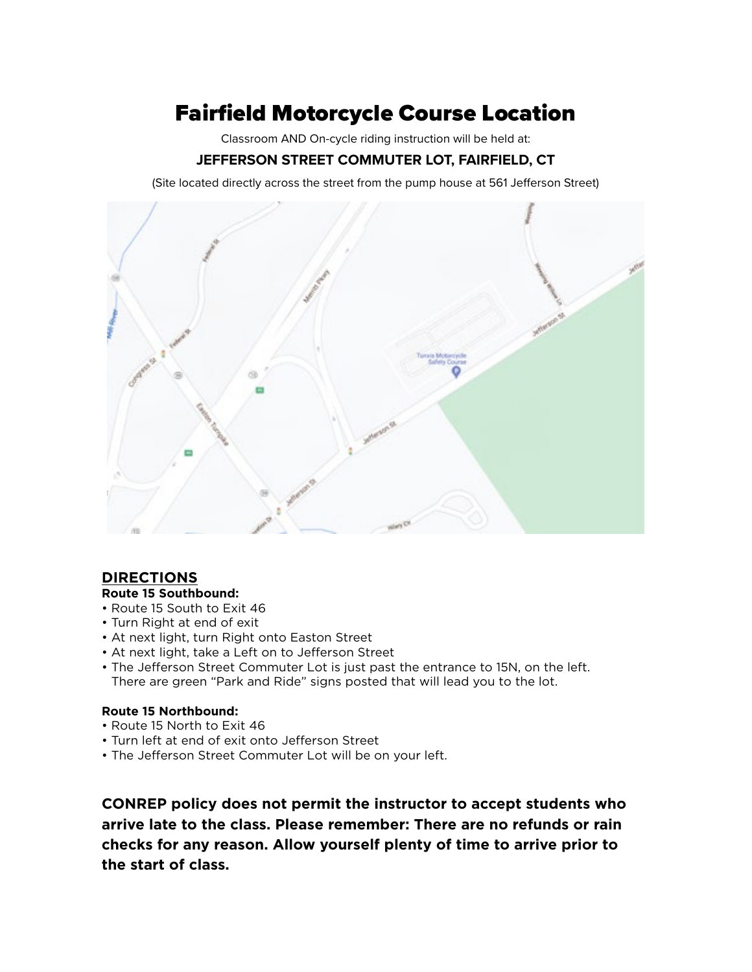# Fairfield Motorcycle Course Location

Classroom AND On-cycle riding instruction will be held at:

## **JEFFERSON STREET COMMUTER LOT, FAIRFIELD, CT**

(Site located directly across the street from the pump house at 561 Jefferson Street)



## **DIRECTIONS**

#### **Route 15 Southbound:**

- Route 15 South to Exit 46
- Turn Right at end of exit
- At next light, turn Right onto Easton Street
- At next light, take a Left on to Jefferson Street
- The Jefferson Street Commuter Lot is just past the entrance to 15N, on the left. There are green "Park and Ride" signs posted that will lead you to the lot.

#### **Route 15 Northbound:**

- Route 15 North to Exit 46
- Turn left at end of exit onto Jefferson Street
- The Jefferson Street Commuter Lot will be on your left.

**CONREP policy does not permit the instructor to accept students who arrive late to the class. Please remember: There are no refunds or rain checks for any reason. Allow yourself plenty of time to arrive prior to the start of class.**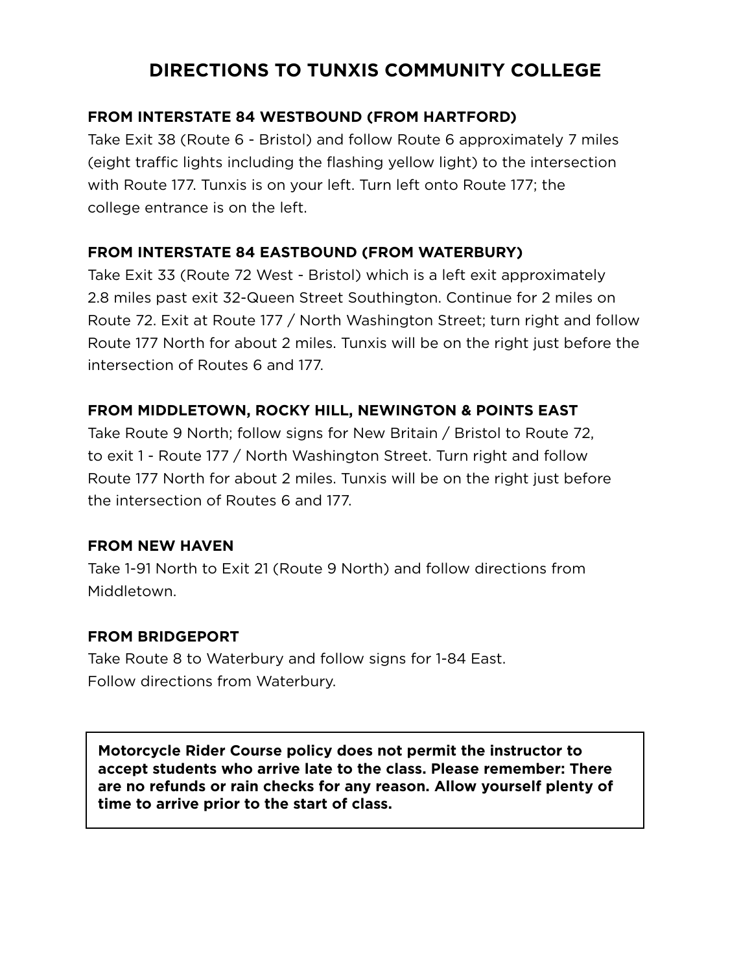# **DIRECTIONS TO TUNXIS COMMUNITY COLLEGE**

## **FROM INTERSTATE 84 WESTBOUND (FROM HARTFORD)**

Take Exit 38 (Route 6 - Bristol) and follow Route 6 approximately 7 miles (eight traffic lights including the flashing yellow light) to the intersection with Route 177. Tunxis is on your left. Turn left onto Route 177; the college entrance is on the left.

## **FROM INTERSTATE 84 EASTBOUND (FROM WATERBURY)**

Take Exit 33 (Route 72 West - Bristol) which is a left exit approximately 2.8 miles past exit 32-Queen Street Southington. Continue for 2 miles on Route 72. Exit at Route 177 / North Washington Street; turn right and follow Route 177 North for about 2 miles. Tunxis will be on the right just before the intersection of Routes 6 and 177.

# **FROM MIDDLETOWN, ROCKY HILL, NEWINGTON & POINTS EAST**

Take Route 9 North; follow signs for New Britain / Bristol to Route 72, to exit 1 - Route 177 / North Washington Street. Turn right and follow Route 177 North for about 2 miles. Tunxis will be on the right just before the intersection of Routes 6 and 177.

## **FROM NEW HAVEN**

Take 1-91 North to Exit 21 (Route 9 North) and follow directions from Middletown.

## **FROM BRIDGEPORT**

Take Route 8 to Waterbury and follow signs for 1-84 East. Follow directions from Waterbury.

**Motorcycle Rider Course policy does not permit the instructor to accept students who arrive late to the class. Please remember: There are no refunds or rain checks for any reason. Allow yourself plenty of time to arrive prior to the start of class.**